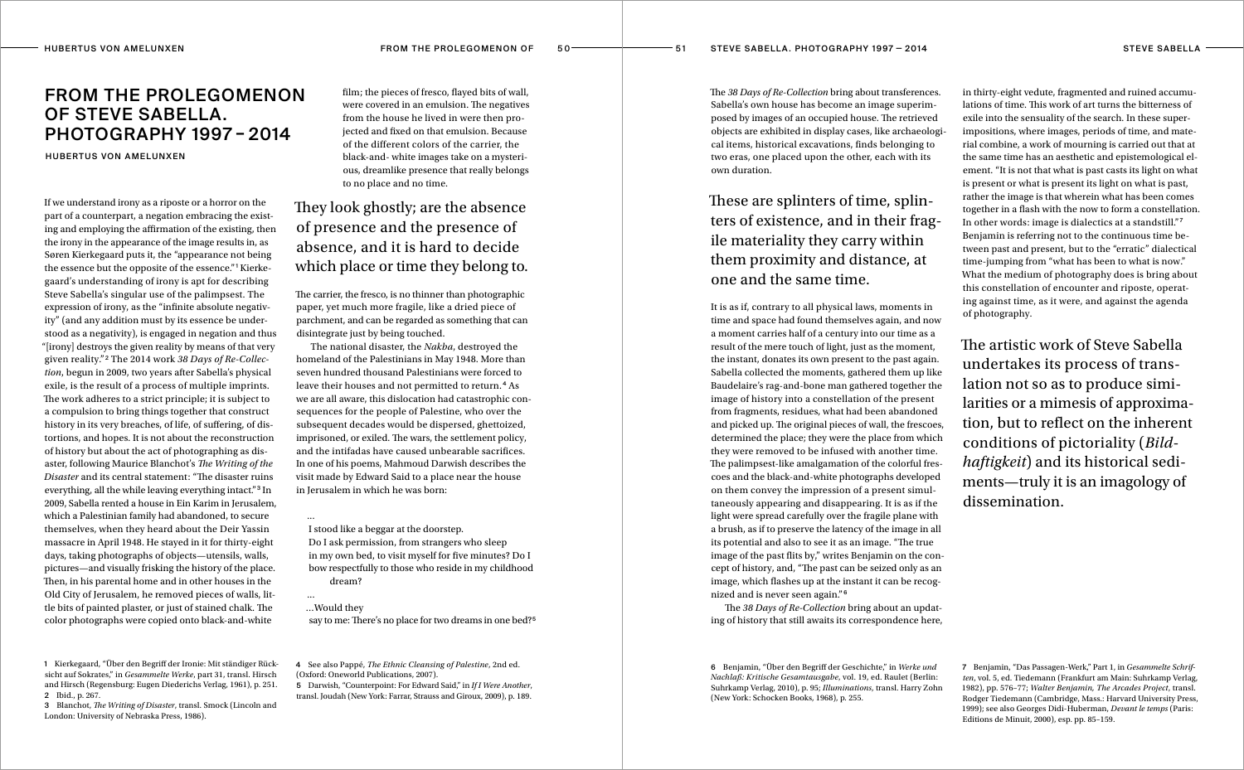Hubertus von Am e l u n x e n From the Prolegomenon of 5 0 5 1 Steve Sabella. Photography 1997 — 2 0 1 4

## From the Prolegomenon of Steve Sabella. Photography 1997 – 2014

**HUBERTUS VON AMELUNXEN** 

If we understand irony as a riposte or a horror on the part of a counterpart, a negation embracing the existing and employing the affirmation of the existing, then the irony in the appearance of the image results in, as Søren Kierkegaard puts it, the "appearance not being the essence but the opposite of the essence."<sup>1</sup> Kierkegaard's understanding of irony is apt for describing Steve Sabella's singular use of the palimpsest. The expression of irony, as the "infinite absolute negativity" (and any addition must by its essence be understood as a negativity), is engaged in negation and thus "[irony] destroys the given reality by means of that very given reality." <sup>2</sup> The 2014 work *38 Days of Re-Collection*, begun in 2009, two years after Sabella's physical exile, is the result of a process of multiple imprints. The work adheres to a strict principle; it is subject to a compulsion to bring things together that construct history in its very breaches, of life, of suffering, of distortions, and hopes. It is not about the reconstruction of history but about the act of photographing as disaster, following Maurice Blanchot's *The Writing of the Disaster* and its central statement: "The disaster ruins everything, all the while leaving everything intact."3 In 2009, Sabella rented a house in Ein Karim in Jerusalem, which a Palestinian family had abandoned, to secure themselves, when they heard about the Deir Yassin massacre in April 1948. He stayed in it for thirty-eight days, taking photographs of objects—utensils, walls, pictures—and visually frisking the history of the place. Then, in his parental home and in other houses in the Old City of Jerusalem, he removed pieces of walls, little bits of painted plaster, or just of stained chalk. The color photographs were copied onto black-and-white

film; the pieces of fresco, flayed bits of wall, were covered in an emulsion. The negatives from the house he lived in were then projected and fixed on that emulsion. Because of the different colors of the carrier, the black-and- white images take on a mysterious, dreamlike presence that really belongs to no place and no time.

## They look ghostly; are the absence of presence and the presence of absence, and it is hard to decide which place or time they belong to.

The carrier, the fresco, is no thinner than photographic paper, yet much more fragile, like a dried piece of parchment, and can be regarded as something that can disintegrate just by being touched.

The national disaster, the *Nakba*, destroyed the homeland of the Palestinians in May 1948. More than seven hundred thousand Palestinians were forced to leave their houses and not permitted to return. <sup>4</sup> As we are all aware, this dislocation had catastrophic consequences for the people of Palestine, who over the subsequent decades would be dispersed, ghettoized, imprisoned, or exiled. The wars, the settlement policy, and the intifadas have caused unbearable sacrifices. In one of his poems, Mahmoud Darwish describes the visit made by Edward Said to a place near the house in Jerusalem in which he was born:

... I stood like a beggar at the doorstep. Do I ask permission, from strangers who sleep in my own bed, to visit myself for five minutes? Do I bow respectfully to those who reside in my childhood dream?

...

say to me: There's no place for two dreams in one bed?<sup>5</sup>

…Would they

3 Blanchot, *The Writing of Disaster*, transl. Smock (Lincoln and London: University of Nebraska Press, 1986).

4 See also Pappé, *The Ethnic Cleansing of Palestine*, 2nd ed. (Oxford: Oneworld Publications, 2007).

5 Darwish, "Counterpoint: For Edward Said," in *If I Were Another*, transl. Joudah (New York: Farrar, Strauss and Giroux, 2009), p. 189.

These are splinters of time, splinters of existence, and in their fragile materiality they carry within them proximity and distance, at one and the same time.

The *38 Days of Re-Collection* bring about transferences. Sabella's own house has become an image superimposed by images of an occupied house. The retrieved objects are exhibited in display cases, like archaeological items, historical excavations, finds belonging to two eras, one placed upon the other, each with its own duration. in thirty-eight vedute, fragmented and ruined accumulations of time. This work of art turns the bitterness of exile into the sensuality of the search. In these superimpositions, where images, periods of time, and material combine, a work of mourning is carried out that at the same time has an aesthetic and epistemological el-

It is as if, contrary to all physical laws, moments in time and space had found themselves again, and now a moment carries half of a century into our time as a result of the mere touch of light, just as the moment, the instant, donates its own present to the past again. Sabella collected the moments, gathered them up like Baudelaire's rag-and-bone man gathered together the image of history into a constellation of the present from fragments, residues, what had been abandoned and picked up. The original pieces of wall, the frescoes, determined the place; they were the place from which they were removed to be infused with another time. The palimpsest-like amalgamation of the colorful frescoes and the black-and-white photographs developed on them convey the impression of a present simultaneously appearing and disappearing. It is as if the light were spread carefully over the fragile plane with a brush, as if to preserve the latency of the image in all its potential and also to see it as an image. "The true image of the past flits by," writes Benjamin on the concept of history, and, "The past can be seized only as an image, which flashes up at the instant it can be recognized and is never seen again." <sup>6</sup>

The *38 Days of Re-Collection* bring about an updating of history that still awaits its correspondence here,

ement. "It is not that what is past casts its light on what is present or what is present its light on what is past, rather the image is that wherein what has been comes together in a flash with the now to form a constellation. In other words: image is dialectics at a standstill." <sup>7</sup> Benjamin is referring not to the continuous time between past and present, but to the "erratic" dialectical time-jumping from "what has been to what is now." What the medium of photography does is bring about this constellation of encounter and riposte, operating against time, as it were, and against the agenda of photography.

The artistic work of Steve Sabella undertakes its process of translation not so as to produce similarities or a mimesis of approximation, but to reflect on the inherent conditions of pictoriality (*Bildhaftigkeit*) and its historical sediments—truly it is an imagology of dissemination.

6 Benjamin, "Über den Begriff der Geschichte," in *Werke und Nachlaß: Kritische Gesamtausgabe*, vol. 19, ed. Raulet (Berlin: Suhrkamp Verlag, 2010), p. 95; *Illuminations*, transl. Harry Zohn (New York: Schocken Books, 1968), p. 255.

7 Benjamin, "Das Passagen-Werk," Part 1, in *Gesammelte Schriften*, vol. 5, ed. Tiedemann (Frankfurt am Main: Suhrkamp Verlag, 1982), pp. 576–77; *Walter Benjamin, The Arcades Project*, transl. Rodger Tiedemann (Cambridge, Mass.: Harvard University Press, 1999); see also Georges Didi-Huberman, *Devant le temps* (Paris: Editions de Minuit, 2000), esp. pp. 85–159.

<sup>1</sup> Kierkegaard, "Über den Begriff der Ironie: Mit ständiger Rücksicht auf Sokrates," in *Gesammelte Werke*, part 31, transl. Hirsch and Hirsch (Regensburg: Eugen Diederichs Verlag, 1961), p. 251. 2 Ibid., p. 267.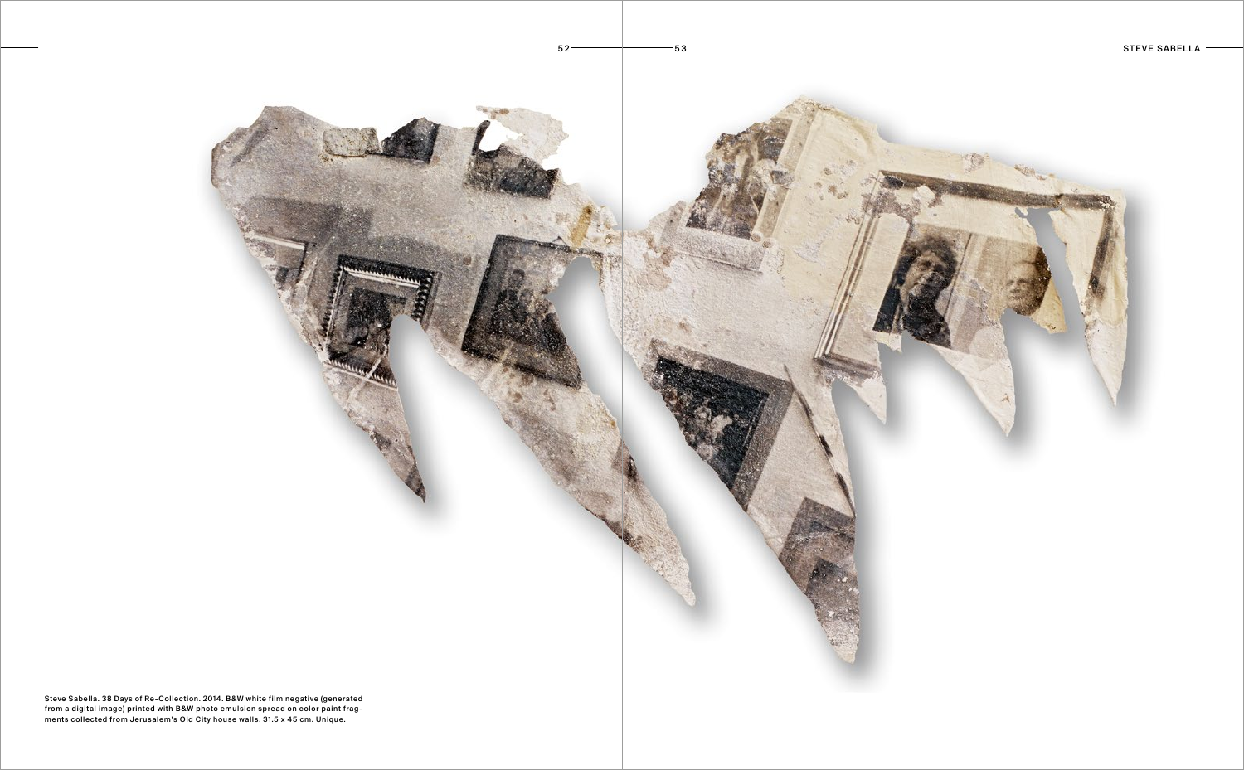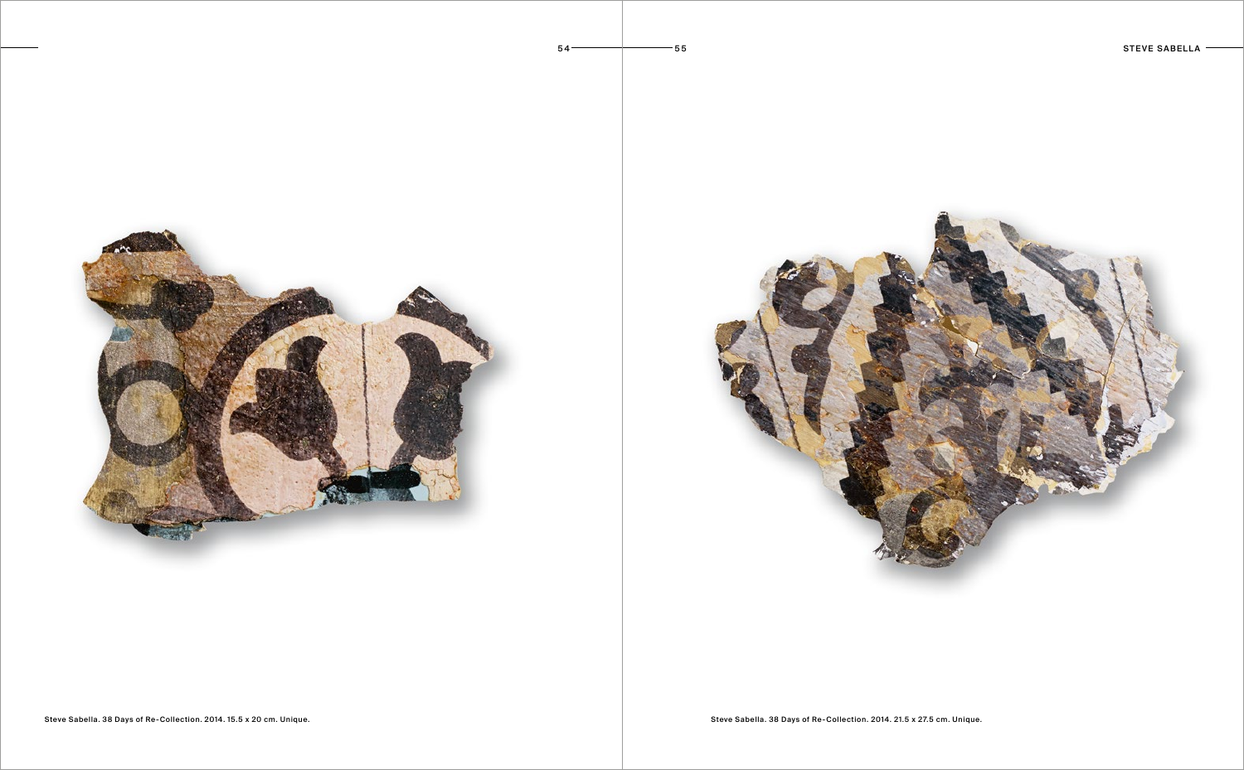



Steve Sabella. 38 Days of Re-Collection. 2014. 15.5 x 20 cm. Unique. Steve Sabella. 38 Days of Re-Collection. 2014. 21.5 x 27.5 cm. Unique.

 $54 \rightarrow 55$ 

STEVE SABELLA  $-$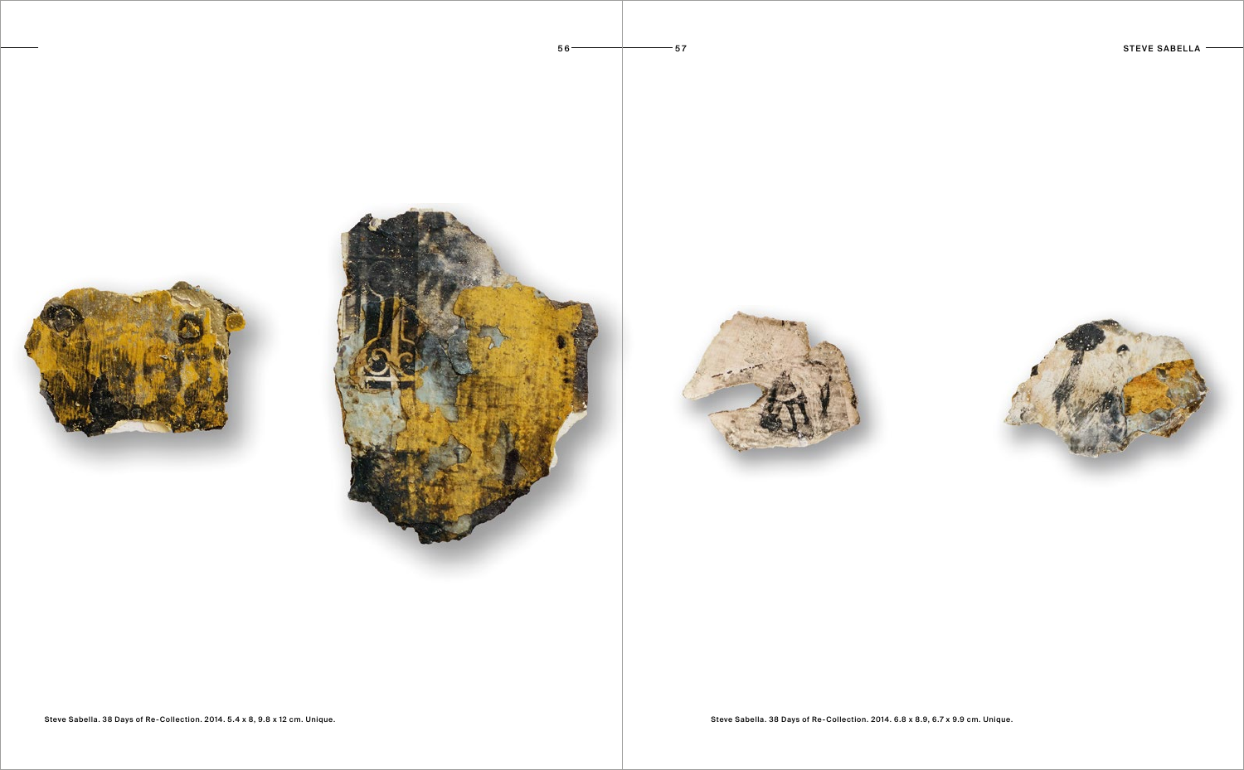





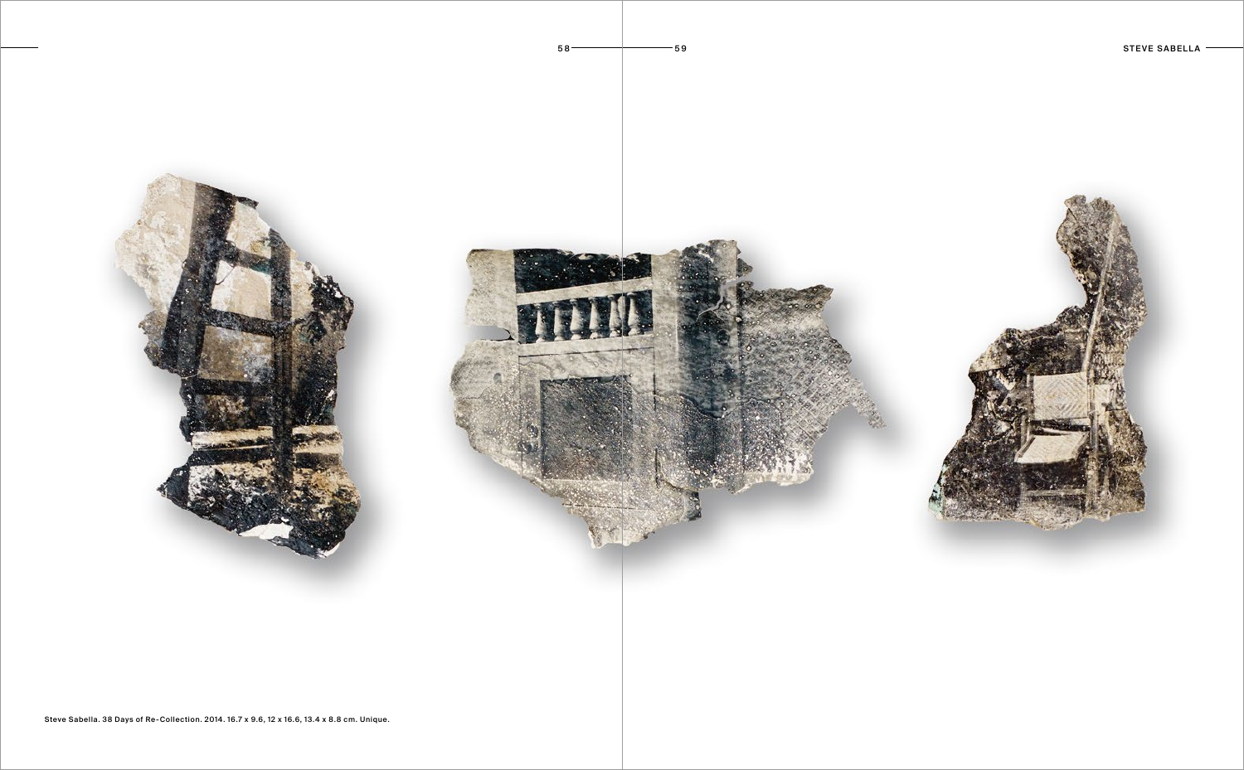